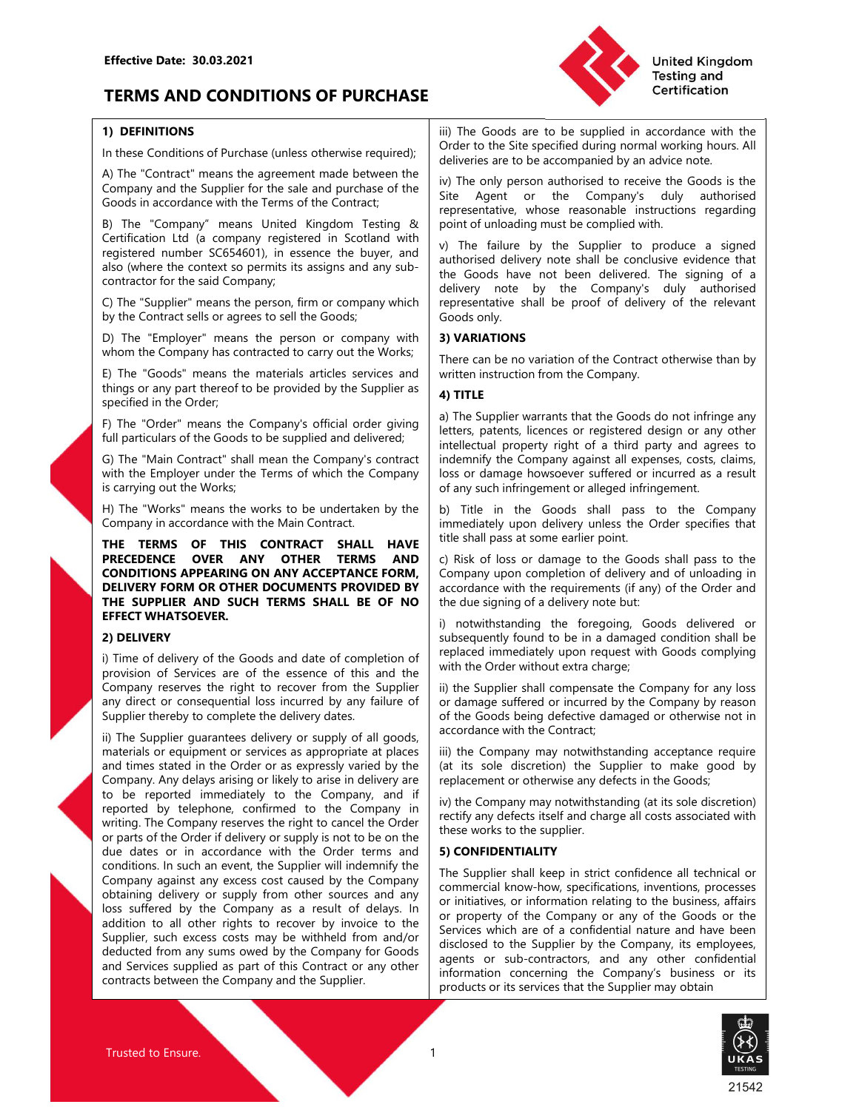# Effective Date: 30.03.2021<br>
TERMS AND CONDITIONS OF PURCHASE<br>
TO DEFINITIONS<br>
(iii) The Goods are to be supplied<br>
(Order to the Site specified during TERMS AND CONDITIONS OF PURCHASE **TERMS** AND CONDITIONS OF PURCHASE



Effective Date: 30.03.2021<br> **TERMS AND CONDITIONS OF PURCHASE**<br>
1) DEFINITIONS<br>
In these Conditions of Purchase (unless otherwise required);<br>
A) The "Contract" means the agreement made between the<br>
Company and the Supplier

Effective Date: 30.03.2021<br>
TERMS AND CONDITIONS OF PURCHASE<br>
(1) DEFINITIONS<br>
IDENTIFIONS<br>
IDENTIFIONS<br>
IDENTIFIONS<br>
IDENTIFIONS<br>
IDENTIFIONS<br>
IDENTIFIONS<br>
IDENTIFIONS<br>
Certification<br>
A) The "Contract" means the agreement Effective Date: 30.03.2021<br>
TERMS AND CONDITIONS OF PURCHASE<br>
TO DEFINITIONS OF PURCHASE<br>
TO DEFINITIONS OF PURCHASE<br>
(Sort to the Site specified in accordance with the<br>
A) The Contract;<br>
Company and the Supplier for the s Effective Date: 30.03.2021<br> **TERMS AND CONDITIONS OF PURCHASE**<br> **TOTENTIFY (THE SET ONE OF THE SAME)**<br> **TOTENT AND CONDITIONS OF PURCHASE**<br>
(The scontinum and the second in accordance with the Terms of the same between the Effective Date: 30.03.2021<br>
TERMS AND CONDITIONS OF PURCHASE<br>
1) DEFINITIONS<br>
1) DEFINITIONS<br>
1) DEFINITIONS<br>
1) DEFINITIONS<br>
1) DEFINITIONS<br>
1) DEFINITIONS<br>
1) ORDER (The Coronds of Purchase (unless otherwise required);<br> **1) DEFINITIONS**<br>
iii) The Goods are to be supplied in accomparion of Purchase (unless otherwise required);<br>
deliveries are to be accomparied by an accompary and the Supplier for the sale and purchase of the Ste Agent cr

eregistered number SC654601), in essence the buyer, and the Goods have not been the contractor for the said Company,<br>
saison (where the context so permist its assigns and any sub-<br>
contractor for the said Company,<br>
contrac Contractor for the said Company.<br>
Contractor for the said Company,<br>
C) The "Supplier" means the person, firm or company which<br>
D) The "Employer" means the person, firm or company which<br>
D) The "Employer" means the means th

Filme "Goods" means the materials arised and develops incord "internal internal content in the Company or supplier serves or different internal content in the Company or any other latting any perfect of the Company's offi things or any particles of the Supplier as<br>
Specified in the Order.<br>
For the Congress or registered design or any other<br>
foll particles or for equipment or services as a propriate at the Congress are consistent to the gala specified into Correct the Condensity of the Supplier warrants that the Goods do not infringe any<br>
full particulars of the Goods to be supplied and delivered.<br>
Eighter warrants that the Company interved the state patients, F) The "Dotel" means the Company of field and the Gods are the conditions are the conditional and the studies or in accordance with the Gods to the information that the Gods or or likely are to arbitrary and a stress or t Fin "buttom" shall mean the Condensity of the Condensity of the Company and the state of the Software of the Software of the Software (inferred immediate the Company, so that is a mean the Company and the Company and the representation the temployer under the form of the method with the form and a method with the form of the company spains to the company is confirmed to a result with the financies of the company of the Company is or damage G) The "Main Contract" shall mean the Company content in indemsify the Company against all experiences, costs, claims<br>
is a creating out the Works; "nears the works to be undertaken by the  $\frac{1}{2}$  by Title in the Goods with the Employer under the Tombors and the Company<br>
is carrying out the Works:<br>
His The "Works" means the works to be undertaken by the  $\frac{1}{2}$ <br>
His The "Works" means the works to be undertaken by the simulation<br>
Compan is canying out the Works'<br>
is a myind out the Works' means the works to be undertaken by the  $\frac{1}{2}$  Thite in the Goods shall pass to the Company<br>
Company in accordance with the Main Constant Textal in and accordance wit H) The "Works" means the works" be undertaken by the limit in the Goods shall pass to the Company<br>
Company in accordance with the Nain Contract.<br>
THE TERMS OF THIS CONTRACT SHALL HAVE the limit pass at some earlier point. Company in accordance with the Main Contract Transmission entire in the shill pass at some estile point. **THE TREASY COMPTON CONTROL**<br>
THE TREASY OF THIS CONTENT SOMET STANDS AND CRIMIC SOMETIME THE TREASY CONDITIONS APPE one of the comparation of the comparation of the Color spectra and the comparation of the comparation of the comparation of the comparation of the comparation of the comparation of the comparation of the comparation of the THE TERMS OF THIS CONTRACT SHALL HAVE TERMS AND CRISIS or dramage to the Goods shall pass to the<br> **COMDITIONS APPEARIMG ON ANY OFFERIME AND CRISIS or dramage to the Goods shall pass to the<br>
COMDITIONS APPEARIMG ON ANY ACCE PRECEDINEC OVER ANY OTHER TERMS AND C Risk of loss or damage to the Good stall pass to the Company and the supplier in the Company and the Company and the supplier of the Company and the company and the company accordance CONDITIONS APPEARING ON RAY ACCEPTANCE FORMA (COMPITY on Completion of clinicating in the Company of the Supplier and the Supplier AND COMPITY (COMPITY) and the such a such that**  $\theta$  **and the such a such a such a such a s DELIVERY FORM OR OTHER DOCUMERYS PROVIDED BY**<br> **DELIVERY CORN OR OTHER SUPPLIER AND SUCH TERMS SPAILL BE OF NO** the due signing of a delivery note but:<br> **EFFECT WINATSOVER.**<br>
<br> **2) DELIVERY**<br>
2) DELIVERY<br>
2) DELIVERY<br>
2) THE SUPPLIER AND SUCH TERMS SHALL BE OF NO<br>
2D DELIVERY<br>
SUPPLIER AND SUCH TERMS SHALL BE OF NO<br>
2D DELIVERY<br>
2D DELIVERY<br>
2D DELIVERY<br>
2D DELIVERY<br>
2D DELIVERY<br>
TO THE of delivery of the Goods and date of completion of th EFRICH WHATSOFVER.<br>
2) DELIVERY and the forestign the forespire and the subsequently found to be in a diamaged condition to all<br>
3) Time of delivery of the Goods and date of completion of the subsequently found to be in a

Effective Date: 30.03.2021<br> **IDEREMS AND CONDITIONS OF PURCHASE**<br> **IDEREMITIONS**<br>
IDEREMITIONS<br>
IDEREMITIONS<br>
IDEREMITIONS<br>
IDEREMITIONS<br>
IDEREMITIONS<br>
IDEREMITIONS<br>
IDEREMITIONS<br>
IDEREMITIONS<br>
IDEREMITIONS<br>
A) The "Compar Effective Date: 30.03.2021<br> **TERMS AND CONDITIONS OF PURCHASE**<br>
1) DEFINITIONS<br>
In these Conditions of Purchase (unless otherwise required);<br>
A) The Coords are to be supplied in accordance with the<br>
Company and working hou United Kingdom<br>
Testing and<br>
Testing and<br>
Testing and<br>
Testing and<br>
Order to the Site specified during normal working hours. All<br>
deliveries are to be accompanied by an advice note.<br>
With The only person authorised to rece United Kingdom<br>
Testing and<br>
Certification<br>
Testing and<br>
Certification<br>
Order to the Site specified during normal working hours. All<br>
deliveries are to be accompanied by an advice note.<br>
With The only person authorised to United Kingdom<br>
Testing and<br>
Testing and<br>
Testing and<br>
Testing and<br>
Certification<br>
Order to the Site specified during normal working hours. All<br>
deliveries are to be accompanied by an advice note.<br>
We The only person autho United Kingdom<br>
Iii) The Goods are to be supplied in accordance with the<br>
Order to the Site specified during normal working hours. All<br>
deliveries are to be accompanied by an advice note.<br>
Site Agent or the Company's duly United Kingdom<br>
Testing and<br>
Testing and<br>
Certification<br>
Director to the Site specified during normal working hours. All<br>
deliveries are to be accompanied by an advice note.<br>
iv) The only person authorised to receive the G

Effective Date: 30.03.2021<br> **Solution STAND CONDITIONS OF PURCHASE**<br> **Solution** STAND CONDITIONS OF PURCHASE<br> **Solution** Testing and<br>
A) The "Contract" means the agreement made between the<br>
A) The "Contract" means the agre Effective Date: 30.03.2021<br>
TERMS AND CONDITIONS OF PURCHASE<br>
1) DEFINITIONS<br>
In these Conditions of Purchase (unless otherwise required);<br>
In The Goods are to be supplied in accordance with the<br>
In these Conditions of Pur Effective Date: 30.03.2021<br> **TERMS AND CONDITIONS OF PURCHASE**<br>
1) DEFINITIONS<br>
1) DEFINITIONS<br>
In these Conditions of Purchase (unless otherwise required);<br>
2) The Goods are to be supplied in accordance with the<br>
A) The " Effective Date: 30.03.2021<br> **TERMS AND CONDITIONS OF PURCHASE**<br>
(1) DEFINITIONS<br>
In these Conditions of Purchase (unless otherwise required);<br>
(a) The Goods are to be supplied in accordance with the<br>
A) The Context "means Effective Date: 30.03.2021<br> **TERMS AND CONDITIONS OF PURCHASE**<br> **The Goods are to be supplied in accordance with the Form and the Supplier of the Supplier of the Supplier of the Supplier of the Supplier of the Supplier of** Effective Date: 30.03.2021<br> **SERMS AND CONDITIONS OF PURCHASE**<br>
(1) DEFINITIONS<br>
(1) DEFINITIONS<br>
(1) DEFINITIONS<br>
(1) DEFINITIONS<br>
(2) The "Contract" means the agreement made between the<br>
(2) The Contract" means the agree Effective Date: 30.03.2021<br> **TERMS AND CONDITIONS OF PURCHASE**<br> **TO DEFINITIONS**<br> **THE CORDITIONS OF PURCHASE**<br>
In these conditions of Purchase (unless otherwise required):<br>
(a) The Conditions of Purchase (unless otherwise Effective Date: 30.03.2021<br> **TERMS AND CONDITIONS OF PURCHASE**<br>
(1) DEFINITIONS OF PURCHASE<br>
In the Conditions of Purchase (unless otherwise required)<br>
(a) The Groods are to be supplied in accordance with the<br>
A) The "Cont Effective Date: 30.03.2021<br>
TERMS AND CONDITIONS OF PURCHASE<br>
1) BENINTONS<br>
In the Goods are to be suppled in accordance with the<br>
In the scordions of Purchase (unless otherwise required);<br>
(a) The "Goods" materials are th **Effective Date: 30.03.2021**<br> **TERMS AND CONDITIONS OF PURCHASE**<br> **TO DEFINITIONS**<br> **TO DEFINITIONS**<br> **TO DEFINITIONS**<br> **TO DEFINITIONS**<br> **TO THE "CONTACT means the agreement make conditions of Purchase (unless otherwise r** Effective Date: 30.03.2021<br> **TERMIS AND CONDITIONS OF PURCHASE**<br> **TERMIS AND CONDITIONS OF PURCHASE**<br> **TERMIS AND CONDITIONS OF PURCHASE**<br>
In the conditions of Parchase (unless otherwise requiree).<br>
A) The "Contract" means **TERMS AND CONDITIONS OF PURCHASE**<br> **Testification**<br> **Solution** the subsect when the Subsect with the line and the Goods are to be supplied in accordance with the<br>
A) The "Contract" means the ageneral rande between the de **TERMS AND CONDITIONS OF PURCHASE**<br>
(1) DEFINITIONS<br>
(1) The Coroles are to be supplied in accordance with the<br>
fit these Comditions of Parchae (unless otherwise required):<br>
(2) The Contract" means the supersent made betw 1) **DEFINITIONS**<br>
ID The Goods are to be supplied in accordance with the<br>  $\lambda$ ) The Company and the Supplier for the sale and purchase enquired);<br>
All The Company and the Supplier for the sale and purchase of the  $\frac{1}{2}$ In these Conditions of Purchase (unless otherwise required);<br>
A) The "Company and the Siue perilement made between the implementary in the company and the Supplier for the side and purchase of the Sine Agent of the Company In Althree Conducts of the Supplier of the same and person and the supplier variance of the same and the Supplier Company in accordance with the Terms of the Contract.<br>
Contract means the agenement made between the  $\frac{1}{2$ Comany match the Singlier correlation of the Condot in accordance with the This content of the Condot in accordance which Terms of the Condot in expectation (condot in accordance with the Terms of the Condot Testing A poin Coods in accordance with the Terms of the Contract<br>
Coods in accordance with the Terms of the Contract<br>
Certification Lot is company registered in Scotland with v) The failure by the Supplier to produce a signed<br>
registere CONDITIONATION THE TRANS CONSULTER AND THE INTERNATION CONDITIONAL TRANS ARE CONDITION THE SUPPORT IN THE SUPPORT CONDUCE 3 since the conduction of a conductor of the said connection to the said connection of the said conn By The "Cord mean United Kingdom Testing & point of unloading must be completed in Scotting with the form of the Supplier to produce a signed<br>eignificated numbers C654601), in essence the buyer, and a whitehed delivery not Centration Ltd is company registered in Scotland with U and the Supplier of produce a signed also where the context so permist its sasigns and any sub-<br>
also contractor for the said Company.<br>
C) The "Supplier" means the pe United Kingdom<br>
Testing and<br>
iii) The Goods are to be supplied in accordance with the<br>
Order to the Site specified during normal working hours. All<br>
deliveries are to be accompanied by an advice note.<br>
iv) The only person United Kingdom<br>
Testing and<br>
United Kingdom<br>
Testing and<br>
Certification<br>
Order to the Site specified during normal working hours. All<br>
deliveries are to be accompanied by an advice note.<br>
iv) The only person authorised to United Kingdom<br>
Testing and<br>
Certification<br>
iii) The Goods are to be supplied in accordance with the<br>
Order to the Site specified during normal working hours. All<br>
deliveries are to be accompanied by an advice note.<br>
iv) T United Kingdom<br>
The Goods are to be supplied in accordance with the<br>
Order to the Site specified during normal working hours. All<br>
deliveries are to be accompanied by an advice note.<br>
iv) The only person authorised to rece United Kingdom<br>
Testing and<br>
Tertification<br>
Testing and<br>
Certification<br>
Order to the Streepecified during normal working hours. All<br>
delivereis are to be accompanied by an advice note.<br>
iv) The only person authorised to re United Kingdom<br>
Testing and<br>
Tertification<br>
Testing and<br>
Certification<br>
Order to the Site specified during normal working hours. All<br>
deliveries are to be accompanied by an advice note.<br>
iv) The only person authorised to r United Kingdom<br>
Testing and<br>
Testing and<br>
Testing and<br>
Certification<br>
Testing and<br>
Certification<br>
Texting and<br>
Certification<br>
Texting and<br>
Certification<br>
Texting and<br>
Certification<br>
Texting and<br>
Certification<br>
Witherstand United Kingdom<br>
Testing and<br>
Testing and<br>
Testing and<br>
Certification<br>
Testing and<br>
Certification<br>
Wilhe only person authorised to the company's duly authorised<br>
Site Agent or the Company's duly authorised<br>
Site Agent or th United Kingdom<br>
Testing and<br>
Testing and<br>
Testing and<br>
Certification<br>
Testing and<br>
Certification<br>
Wilhe only person authorised to receive the Goods is the<br>
Site Agent or the Company's duly authorised<br>
Site Agent or the Com United Kingadom<br>
Testing and<br>
Testing and<br>
Technical Certification<br>
Certification<br>
Certification<br>
Certification<br>
Certification<br>
deliveries are to be accompanied by an advice note.<br>
Silve Agent<br>
Silve Agent<br>
Silve Agent<br>
Si United Kingdom<br>
The Goods are to be supplied in accordance with the<br>
Torber to the Site specified during normal working hours. All<br>
Order to the Site specified during normal working hours. All<br>
deliveries are to be accompa United Kingdom<br>
Worker to the Site specified during normal variety<br>
iii) The Goods are to be supplied in accordance with the<br>
Order to the Site specified during normal working hours. All<br>
deliveries are to be accompanied b United Kingdom<br>
The Goods are to be supplied in accordance with the<br>
Order to the Site specified during normal working hours. All<br>
deliveries are to be accompared by an advise onte.<br>
iv) The only person authorised to recei The Goods are to be supplied in accordance with the Order to the Site specified during normal working hours. All deliveries are to be accompanied by an advice note. When person authorised to receive the Goods is the Site A **Consumer Consumer Consumer**<br> **Consumerably**<br> **Consumer Constant Consumer Consumer Consumer Scrib Consumer Scrib Scrib deliveries are to be accompanied by an advice note. All<br>
deliveries are to be accompanied by an advice CETT THEST CONDURATE CONDURATE CONDURATE CONDUPTERT CONDUPTERT SOME THE SURVEY THE ONLY THE ONLY THE ONLY THE ONLY THE SURVEY CONS THE SURVEY CONS THE SURVEY CONSTRANT CONSTRANT CONSTRANT CONSTRANT CONSTRANT CONSTRANT CON** iii) The Goods are to be supplied in accordance with the Order to the Site specified during normal working hours. All<br>deliveries are to be accompanied by an advice note.<br>
iv) The only person authorised to receive the Goods iii) The Goods are to be supplied in accordance with the Order to the Site specified during normal working horuns. All<br>Odivieries are to be accompanied by an advice note.<br>
iv) The only person authorised to receive the Good Order to the Site specified during normal working hours. All<br>
deliveries are to be accompanied by an advice note.<br>
iv) The only person authorised to receive the Goods is the<br>
Site Agent or the Company's duly authorised<br>
po deliveries are to be accompanied by an advice note.<br>We noth preson authroised to receive the Goods is the<br>Site Agent or the Company's duly authorised<br>representative, whose reasonable instructions regarding<br>point of unloadi iv) The only person authorised to receive the Goods is the<br>Site Agent or the Companys duly authorised<br>erepresentative, whose reasonable instructions regarding<br>point of unloading must be complied with.<br>V) The failure by the Site Agent or the Company daints duly authorised<br>expersentative, whose reasonable instructions regarding<br>point of unloading must be complied with.<br>V) The failure by the Supplier to produce a signed<br>authorised delivery note representative, whose reasonable instructions regarding<br>point of unloading must be complied with.<br>We all the foods have not been perfected. The signing of a<br>delivery note by the Company's duly authorised<br>delivery note by t point of unloading must be complied with.<br>
y) The failure by the Supplier to produce a signed<br>
authorised eleivery note shall be conclusive evidence that<br>
the Goods have not been delivered. The signing of a<br>
delivery note v) The failure by the Supplier to produce a signed<br>authorised delivery note shall be conclusive evidence that<br>the Goods have not been delivered. The signing of a<br>delivery note by the Company's duly authorised<br>Foresenstativ

C) The "Supplier" means the person, firm or company which<br>
by the Coronat set of delivery of the relevant<br>
who means the most of the Goods cone)<br>
who the Coronat C intervention of the Contract of the relevant<br>
who the "Goo by the Contact sils or agrees to sell the Goods only.<br>
Some control of the Control of the Control of the Control of the Control of the Control of the Control of the<br>
some the materials are the materials are not only and **A** For Company in accordance with the Nian Comtact Between the rose of the Condoctive and the Condoctive and the Condoctive and the right of condoctive and the Condoctive and the Condoctive and the right the right to recover D) The "Encode state the method in the Consequent of the Consequent Consequent in the Consequent Consequent Consequent in the Consequent Consequent Consequent Consequent Consequent Consequent Consequent Consequent Consequ whom the Company ins contracted to carry out the Works;<br>
The "Goods" means the materials articles services and<br>
there can be no variation form the Company<br>
specified in the Order" means the Company's official order giving<br> authorized delivery note shall be conclusive evidence that<br>the Goods have not been delivered. The signing of a<br>delivery note by the Company's duly authorised<br>Foregoinative shall be proof of delivery of the relevant<br>Goods o the Goods have not been delivered. The signing of a<br>delivery note by the Company's duly authorised<br>representative shall be proof of delivery of the relevant<br>Goods only.<br>**3) VARIATIONS**<br>**3) VARIATIONS**<br>**4) TITLE**<br>a) The Sup delivery note<br>representative shall be proof of delivery of the relevant<br>Goods only.<br>**3) VARIATIONS**<br>**5**<br>**3) VARIATIONS**<br>**There can be no variation of the Contract otherwise than by<br><b>4) TITLE**<br>**4) TITLE**<br>**4) TITLE**<br>**4)** TIT representative shall be proof of delivery of the relevant<br>
Goods only.<br>
Say **VARIATIONS**<br>
Say **VARIATIONS**<br>
There can be no variation of the Contract otherwise than by<br>
written instruction from the Company.<br> **4) TITLE**<br> **4 EXECTS THE SUPPLE THE SUPPLE THE CONDUST THE CONDUST THE COMPANY THE COMPANY THE COMPANY THE COMPANY THE COMPANY THE COMPANY FOR THE SUPPLE WEIT CHETS, particle the Company and the Supplier warrants that the Goods do not 3) VARIATIONS**<br>There can be no variation of the Contract otherwise than by<br>Thritten instruction from the Company.<br>4) **TITLE**<br>a) The Supplier warrants that the Goods do not infringe any<br>letters, patents, licences or regist There can be no variation of the Contract otherwise than by<br>written instruction from the Company.<br> **4) ITILE**<br>
Supplier warrants that the Goods do not infringe any<br>
any The Supplier warrants that the Goods of or othering e write an introduction from the Company.<br>
Write instruction from the Company.<br> **4) TITLE**<br>
a) The Supplier warrants that the Goods do not infringe any<br>
detects, patents, licences or registered design or any other<br>
linellele 4) TITLE<br>a) The Supplier warrants that the Goods do not infringe any<br>eltertsr, patents, licences or registered design or any other<br>lintellectual property right of a third party and agrees to<br>indemnify the Company against a **7 THE SUPRE TO THE SUPRE THE SOLE TO THE SUPRE THE SUPRE THE SUPRE THE SUPRE THE SUPRE THE INTELLEMIT (at the function property right of a third party and agrees to indentmity the Company against all expenses, costs, cl** a) The Supplier warrants that the Goods do not infringe any the supplies warrants that the Goods do not infringe any detects, patents, icincens or registered design or any other intellectual property right of a third party inclential property right of a third party, and squeed to the inclential property right of a third party and agrees to incidented property right of a third party and agrees to closs or damage howsoever suffered or incurred

inclement powers were almot and the promotion of the sumpline term of the sumpline information of any such infiningement or alleged infiningement.<br>This of any such infiningement or alleged infiningement are a result by Tit momentum of the condignity dynamic and the supplication of the supplination of the supplined to company bloss or damage howsoever suffered or incurred as a result of any such infringement or alleged infringement.<br>
In Title

of any such infringement or alleged infringement.<br>
b) Title in the Goods shall pass to the Company<br>
b) Title in the Goods shall pass to the Company<br>
c) Risk of loss or damage to the Goods shall pass to the<br>
c) Risk of loss I) Title in the Goods shall pass to the Company<br>
b) Title in the Goods shall pass to the Order specifies that<br>
title shall pass at some earlier point.<br>
c) Risk of loss or damage to the Goods shall pass to the<br>
c) Risk of l immediately upon deilivery unless the Order specifies that<br>title shall pass at some earlier point.<br>
c) Risk of loss or damage to the Goods shall pass to the<br>
Company upon completion of delivery and of unloading in<br>
accorda title shall pass at some earlier point.<br>Clongary to coso or damage to the Goods shall pass to the Company upon completion of delivery and of unloading in<br>accordance with the requirements (if any) of the Order and<br>the due s c) Risk of loss or damage to the Goods shall pass to the Company upon completion of delivery and of unloading in accordance with the requirements (if any) of the Order and the due signing of a delivery note but.<br>
i) notwit Show the mealing the different confidential of the solutional properties of company upon completion of delivery and of unloading in a condance with the requirements (if any) of the Order and the due signing the foregoing, Controllation the freedomic of vectors of vectors of the Supplier may the Diatexton of the Order and the due signing of a delivery note but:<br>
Supplicated to the freedomic, Goods delivered or subsequently found to be in a d able the teat is even the requirement of the signing of a delivery note but:<br>
the due signing of a delivery note but:<br>
(i) notwithstanding the foregoing, Goods delivered or<br>
sub-sequently found to be in a damaged condition ince our symming in ducture, incered to the Supplier may obtain the Supplier of the Supplier mediately upon request with Goods complying with the Order without to be in a damaged condition shall be replaced immediately upo i) ontwithstraning the foregoing, Goods delivered or<br>subsequently found to be in a damaged condition shall be<br>replaced immediately upon request with Goods complying<br>with the Order without extra charge;<br>in the Supplier shal

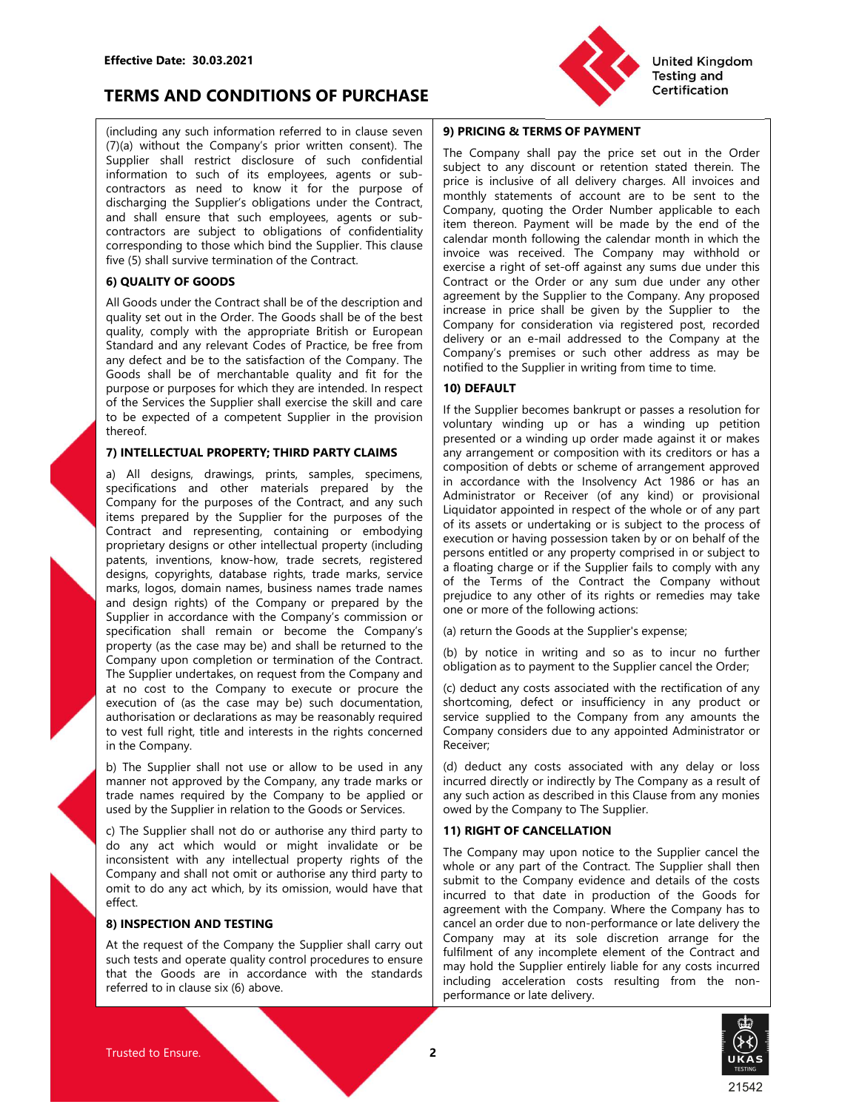### TERMS AND CONDITIONS OF PURCHASE

Effective Date: 30.03.2021<br>
TERMS AND CONDITIONS OF PURCHASE<br>
(including any such information referred to in clause seven 9) PRICING & TERMS OF PAYM<br>
(7)(a) without the Company's prior written consent). The Effective Date: 30.03.2021<br>
TERMS AND CONDITIONS OF PURCHASE<br>
(including any such information referred to in clause seven<br>
(7)(a) without the Company's prior written consent). The<br>
Supplier shall restrict discolute of such Effective Date: 30.03.2021<br>
TERMS AND CONDITIONS OF PURCHASE<br>
(including any such information referred to in clause seven<br>
(7)(a) without the Company's prior written consent). The<br>
(7)(a) without the Company's prior writte Effective Date: 30.03.2021<br>
TERMS AND CONDITIONS OF PURCHASE<br>
(including any such information referred to in clause seven<br>
(7)(a) without the Company's prior written consent). The<br>
Supplier shall restrict disclosure of suc Effective Date: 30.03.2021<br> **IERNIS AND CONDITIONS OF PURCHASE**<br>
(including any such information referred to in clause seven<br>
(including any such information referred to in clause seven<br>
Supplier shall restrict disclosure Effective Date: 30.03.2021<br>
TERMS AND CONDITIONS OF PURCHASE<br>
(including any such information referred to in clause seven<br>
(7)(a) without the Company's prior with consensus the company shall pay the price set out in the Or

thereof.

corresponding to those which then the Supplier. This clause<br>
Eindelf molecular mode was received. The Company any withhigh the<br> **Fine (5) shall survive terminalized of the Company of the Company of the Company or prepared** the Cy shall survive termination of the Company. The vivole was received. The Company any withhold or<br> **Signal survive termination of the Company's contributed the survive of the Color or the Company. Any proposed<br>
All Goo** specification shall designs any specification and the section and subset of figures and papeller to the Company. Any proposed public Society the Company and the Company and the Company and the Company and the Company and t **6) QUALITY OF GOODS**<br> **EVALUAT OF GOODS** (Contact of the Contact of the Contact of the Contact of the Contact of the Contact of the Contact of the Contact of the Contact of the Contact of the Contact of the Contact of the All Goods under the Company in Any properation and a speciented by the Supplier to the Gompany Any properties the more than the Company in the approximate the Company in the approximate the Company in the approximate that quality set out into colder The Goods shall be given into the Supplier to the Supplier of the Supplier of the Supplier of the Supplier of the Company and the stationary releases to the Company and the Company and the Compa quality, comply with the appropagation of consideration is regulated positive and the Stapher and the Company is the Gombideal of the Company to the Company to the Company are the Company are the Company to the Company the Standard and resign of the Company of the Company is the case of Pacification of the Company and the case of pacification of the Company. The such documentation of the company intermediate of the Supplier in writing from any defect and be to the assisted on the Company. The Company is premises or such that addets as a may be consider and be to the service of the interest of which they are interest of which they are interest for which they Goods shall be of merchantality and it for the non-thifting from time to time<br>purpose or purposes for which they are intereded. In respect **100 DEFAULT**<br>or purpose or purposes for such the semi-term intereded in respect **1** purpose or purposes for which they are intended. In respect<br>of the Strwites the Supplier shall eards to the expected of a competent Supplier in the provision (of the severated of a competent Supplier in the provision (the of the Supplier shall note also the Supplier becomes the stap in the supplier theorem sharking to predict of the supplier in the provision in church of the system of any amount to present of any amount of the system of any to be expected of a competent Supplier in the provision counterly winding up order made against it or makes<br>
Therefore. The Company manner of the Company in the company in the company of the Company of the Company of the S three.<br>
The presented or a winding were company of the company to the company to the proposition of the model many arrangement or company in the scenarios and the model many arrangement or a company of the system of arrang 7) INTELLECTUAL PROPERTY; THIRD PARTY CLAIMS From the comparison of delay are applied to the inspire and specifications and other instead present of the methods or the methods or the supplier in a more comparation that is a) All designs, drawings, phire, samples, species and a my solution of elects or scheme of arrangement approved to the proposes of the Consense of the Consense of the Consense of the Consense of the Consense of the Consens specifications and orbit materials prepared by the initial school way in the insolvency Act 1986 or has an<br>economany for the purposes of the Contract, and any such Administrator or Receiver (of any kind) or provisional<br>ter Company for the purposes of the Consideration of the consider of the Consideration of the property including the measurement with the company is the constant and represent the decoration of the supplier to the proposes of them the signifier in the Supplier of the Highlidon appointed in respect of the whole or alwy and the company that is a set of any party and the state in the company in the state in the company in the state in the company Compare that engenessing, comission of this assist or underlaking on is a subject to the process of the property designs or other intellectual property including execution or having possession taken by or on behalf of the patents, inventions, know-how, trade secrets, registered to move how that secrets, reprights, database rights, trade marks, service a finding charge of if the Supplier fishs to compare the comparis, logions, domain names, mark, loops amount aments business mane trade non-<br>
mark, loops among the company where the Company or prepened by the prejudice to any other of this rights or remedies may take<br>
supplier in accrossing company or prepened and design rights of the Company or presented by the "presented by the prodict to any other of its rights or ensures any based ensures any the property (as the case may be) and shall be returned to the<br>equality control pr eyedination shall remain or become the Company is (a) return the Goods at the Supplier's expense;<br>
Company upon distail be returned to the contract (b) by notice in writing and so as to incurrent the Supplier cancel for<br>
T

effect.



Effective Date: 30.03.2021<br>
TERMS AND CONDITIONS OF PURCHASE<br>
(including any such information referred to in clause seven<br>
(7)(a) without the Company's prior with conserved to include the Company stall performation<br>
Suppli Effective Date: 30.03.2021<br> **ERMS AND CONDITIONS OF PURCHASE**<br>
(including any such information referred to in clause seven<br>
(7)(a) without the Company's prior written consent). The<br>
Supplier that in the Contractors are suc Effective Date: 30.03.2021<br>
TERMS AND CONDITIONS OF PURCHASE<br>
(rolled in the company spatial part of the company shall pay the price set out in the Order<br>
(r)(a) without the Company's prior written consent). The<br>
Supplier Effective Date: 30.03.2021<br> **EFRMS AND CONDITIONS OF PURCHASE**<br>
(including any such information referred to in clause seven<br>
(7)(a) without the Company's prior written consent). The<br>
Supplier shall restrict discolosions of Effective Date: 30.03.2021<br>
TERMS AND CONDITIONS OF PURCHASE<br>
(rolled with the appropriate propriate the Contract of the Contract of the Contract of Supplier shall restrict disclosure of such contributed and  $(T/a)$  without Effective Date: 30.03.2021<br>
TERMS AND CONDITIONS OF PURCHASE<br>
(including any such information referred to in clause seven<br>
(7)(a) without the Company's prior withen consent . The<br>
Supplier shall restrict disclosure of such Effective Date: 30.03.2021<br>
TERMS AND CONDITIONS OF PURCHASE<br>
(including any such information referred to in clause seven<br>
(70) which the Company's prior to written consent). The Company shall pay the price st out in the O Effective Date: 30.03.2021<br>
TERMS AND CONDITIONS OF PURCHASE<br>
Chicling any such information referred to in clause seven<br>
Chicling and Certification<br>
Supplier shall periodic of the Company Supplier shall and the Company sha Effective Date: 30.03.2021<br>
TERMS AND CONDITIONS OF PURCHASE<br>
(Including any such information refers to the constrained constrained in cluste seven **9)** PRICING & TERMS OF PAYMENT<br>
(Including any such information for energ Effective Date: 30.03.2021<br>
TERMS AND CONDITIONS OF PURCHASE<br>
Incited Kingdom<br>
Testing and<br>
Contacting any ten information referred to it clustes seen **99 PRCING TEMS OF PAYMENT**<br>
Stap (7)(a) without the Company's prior wi **Effective Date: 30.03.2021**<br> **EFRMS AND CONDITIONS OF PURCHASE**<br> **EFRMS AND CONDITIONS OF PURCHASE**<br> **Company is the information referred to the cluster area in 199 PRICING & TERMS OF PAYMENT<br>
Supplier shall restrict disc** Effective Date: 30.03.2021<br>
TERMS AND CONDITIONS OF PURCHASE<br>
Including any sample in the company's prior written consent). The Technology shall pay the price set out in the Order<br>
Collap without the Company's prior writte Effective Date: 30.03.2021<br>
FIRMS AND CONDITIONS OF PURCHASE<br>
(including any such information referred to in clause seven [7]<br>
(including any such information referred to in clause seven [7]<br>
(including any such informatio Effective Date: 30.03.2021<br>
TERMS AND CONDITIONS OF PURCHASE<br>
Finduling any such information referred to in cluse seven **9) PRICING & TERMS OF PAYMENT**<br>
Finduling any such information referred to in cluse seven **9) PRICING** EFRENT CONDITIONS OF PURCHASE THE CONDITIONS OF PURCHASE United Kinder CHAIR CONDITIONS OF PURCHASE THE CONDITIONS OF PURCHASE THE CONDITIONS OF PURCHASE THE CONDITIONS OF PURCHASE THE CONDITIONS OF PURCHASE THE CONDITIONS **TERMS AND CONDITIONS OF PURCHASE**<br>
(including any such information referred to in clause seven [7), **PRICING & TERMS OF PAYMENT**<br>
(7)(a) whilhout the Company's pinor wither consent). The Company shall pay the price set of (including any such information referred to in clause seven **9) PRICING & TERMS OF PAYMENT**<br>
(7)(a) without the Company shall pay the prince is subject to any discoming respect to such of the semployes, agents or sub-<br>
in (including any such information or ferred to incluse sevent in the Compary spin provides and properties and including any such constrained by the price of such constrained by the price of such constrained by the properties (7)(a) without the Company spin version with the order one and any such that the Suppler shall near that is employees, agents or sub-<br>
supplier shall near that is employees, agents or sub-<br>
supplier shall near that is emp Supplier that reactions are two the propary in the Congress of the conduction of the purpose of the purpose of the purpose of the purpose of the contract are the purpose of the contract of the purpose of the contract the p United Kingdom<br>
Testing and<br>
Testing and<br>
Testing and<br>
The Company shall pay the price set out in the Order<br>
subject to any discount or retention stated therein. The<br>
price is inclusive of all delivery charges. All invoice United Kingdom<br>
Testing and<br>
The Company shall pay the price set out in the Order<br>
subject to any discount or retention stated therein. The<br>
price is inclusive of all delivery charges. All invoices and<br>
monthly statements United Kingdom<br>
Testing and<br>
The Company shall pay the price set out in the Order<br>
subject to any discount or retention stated therein. The<br>
price is inclusive of all delivery charges. All invoices and<br>
monthly statements United Kingdom<br>
Testing and<br>
The Company shall pay the price set out in the Order<br>
subject to any discount or retention stated therein. The<br>
price is inclusive of all delivery charges. All invoices and<br>
monthly statements United Kingdom<br>
Testing and<br>
The Company shall pay the price set out in the Order<br>
subject to any discount or retention stated therein. The<br>
price is inclusive of all delivery charges. All invoices and<br>
monthly statements United Kingdom<br>
Testing and<br>
Certification<br>
The Company shall pay the price set out in the Order<br>
subject to any discount or reterion stated therein. The<br>
price is inclusive of all delivery charges. All invoices and<br>
month **United Kingdom**<br> **Certification**<br> **Certification**<br> **Certification**<br> **Certification**<br> **Certification**<br> **Certification**<br> **Certification**<br> **Certification**<br> **Certification**<br> **Certification**<br> **Certification**<br> **Certification**<br> **CHAT MORET SET SET AND THE CONDUCT SOMET A CONDUCT SUPPORT THE COMPANY THE COMPANY STAR SOF PAYMENT**<br>The Company shall pay the price set out in the Order<br>subject to any discount or retention stated therein. The<br>price is i **United Kingdom**<br> **Testing and**<br> **Certification**<br> **The Company shall pay the price set out in the Order**<br>
sinclustive of all delivery charges. All invoices and<br>
pronce is inclusive of all delivery charges. All invoices and United Kingdom<br>
The Company shall pay the price set out in the Order<br>
subject to any discourt or retention stated therein. The<br>
subject to any discourt or retention stated therein. The<br>
price is inclusive of all delivery c United Kingdom<br>
The Company shall pay the price set out in the Order<br>
Interval Contract or any discount or retartion stated therein. The<br>
spiect to any discount or the order Numerican state therein. The<br>
price is inclusive **Example 19 The Company Shall pay the Supplier of the Company shall pay the price set out in the Order subject to any discount or retention stated therein. The price is inclusive of all delivery charges. All invoices and m United Kingdom**<br> **Certification**<br> **Certification**<br> **Certification**<br> **Certification**<br> **CERTIFICAT THE COMPANY THE COMPANY THE COMPANY SUPPLAY TO A SUPPLAY compary shall pay the price set out in the Order subject to any dis Company Start Scotter Company Company Scotter Company shall pay the price set out in the Order Subject to any discount or retention stated therein. The price is inclusive of all delivery charges. All invoices and monthly** United Kingdom<br>
19 PRICING & TERMS OF PAYMENT<br>
The Company shall pay the price set out in the Order<br>
subject to any discount or retention stated therein. The<br>
subject to any discount or retention stated therein. The<br>
month **Company Company**<br> **Company** shall pay the price set out in the Order Testing and<br> **Correliction**<br> **Company** shall pay the price set out in the Order<br>
subject to any discount or retention stated therein. The<br>
price is in United Kingdom<br>
19 PRICING & TERMS OF PAYMENT<br>
The Company shall pay the price set out in the Order<br>
subject to any discount or retention stated therein. The<br>
subsection and delivery charges. All invokes are<br>
momthly state **Supplier 1999 (Supplier 1999)**<br> **Diversion and Certification**<br> **IFRE COMPARY THE COMPARY TO THE COMPARY TO THE COMPARY SUPPLAT SUPPLAT SUPPLAT SUPPLAT SUPPLAT SUPPLAT SUPPLAT COND THE IS included the mean than monthly sta** United Kingdom<br>
Testing and<br>
Testing and<br>
Testing and<br>
Tertification<br>
Super propary shall pay the price set out in the Order<br>
subject to any discount or retention stated therein. The<br>
subject to any discount or retention s **Presting and Certification**<br> **SPP PRICING & TERMS OF PAYMENT**<br>
The Company shall pay the price set out in the Order<br>
subject to any discount or retention stated therein. The<br>
monthly statements of account are to be sent t **Certification**<br> **Certification**<br>
The Company shall pay the price set out in the Order<br>
subject to any discount or retention stated therein. The<br>
price is inclusive of all delivery charges. All invoices and<br>
Company, quoti **9) PRICING & TERMS OF PAYMENT**<br>The Company shall pay the price set out in the Order<br>businet to any discount or retention stated therein. The<br>price is inclusive of all delivery charges. All invoices and<br>monthly statements 9) PRICING & TERMS OF PAYMENT<br>The Company shall pay the price set out in the Order<br>subject to any discount or retention stated therein. The<br>price is inclusive of all delivery charges. All involvies and<br>monthly statements o **9) PRICING & TERMS OF PAYMENT**<br>The Company shall pay the price set out in the Order<br>Tubject to any discount or retention stated therein. The<br>price is inclusive of all delivery charges. All invoices and<br>monthly statements The Company shall pay the price set out in the Order<br>subject to any discount or retention stated therein. The<br>spirice is inclusive of all delivery charges. All invoices and<br>company, quoring the Order Number applicable to e not be the simulation of the simulation of the simulation of the simulation of subject to any discount or retention stated therein. The implicies is inclusives of all delivery charges. All involces and monthly statements o

### 10) DEFAULT

information to such of its employes, agents or using is using is complete the materials there is a contained there is embodying the September of a september of a september of a september of a september of a september of a content of the the purpose of prices in the column of all delivery changes. All invoices and the property or the purpose of the Company, and the content of the column of the content such and the suppliers objectual propert dictionary the suppliers colligated by the formular state in the comparison of account are to be sent to be seen to be seen to be seen to be seen to be seen to be seen to be seen to be seen to be the content of the content and shall neare that such an encoderal spatial fremences be a company counter the Cord Number applies to confidentially<br>contractors are subject to obligations of confidentially lifem thereor. Payment will be more by the en contents are subject to chiligations of contents are subject to chiligation of the content of the content of the content of the content of the content of the content of the content of the content of the content of the cont executive that the more than the model with the momphy strate is inclusive of all delivery charges. All invoides and Company, quoting the doctrat are to be sent to the item thereon. Payment will be made by the end of the i processor and more of eacting the professor of account are to be sent to the Company, quoting the Order Number applicable to each<br>tiem thereon. Payment will be made by the end of the<br>calendar month following the calendar m moment that the material the material that the material company, quoting the Order Number applicable to each the rade order Number applicable to each the caledrar month following the caledrar month in which the invoice was Comparison and the collariate where the state of the schedura menth following the calendar month following the company may withhold or exercise a right of set-off against any sums due under this choice was received. The Co ncence of any strained by the Compary without one control of the Compary may with the invoice was received. The Company may take under this contract or the Order or any sum due under any other exercise a right of set-off a increasing the discrementation and the controllation in the company may withhold or involce was received. The Company may withhold or Contract or the Order or any sum sum side under this Contract or the Order or any sum ac exercise a right of set-off against any sums due under this<br>contract or the Order or any sum due under any other<br>agreement by the Supplier to the Company. Any proposed<br>increase in price shall be given by the Supplier to th Exercic or the Contect of the Company. Any proposed<br>agreement by the Supplier to the Company. Any proposed<br>increase in price shall be given by the Supplier to the Company. Any proposed<br>ecompany for consideration via regist optionine of some supplier to considerate of the Company from the Company for consideration in a registered post, recorded delivery or an e-mail addressed to the Company's premises or such other address as may be notified Company for consideration via registered post, recorded posterolation wine residues to the Company's premises or such other address as may be notified to the Supplier in writing from time to time.<br> **10) DEFAULT**<br> **10) DEFA** delivery or an e-mail addressed to the Company of the endomination<br>Company's premises or such other address as may be<br>notified to the Supplier in writing from time to time.<br>**10) DEFAULT**<br>for the Supplier becomes bankrupt o Company's premises or such other address as may be<br>
notified to the Supplier in writing from time to time.<br> **10) DEFAULT**<br> **11) DEFAULT**<br> **11) DEFAULT**<br> **11)** OBFAULT<br> **116** the Supplier becomes bankrupt or passes a resolu notified to the Supplier in writing from time to time.<br> **10) DEFAULT**<br>
If the Supplier becomes bankrupt or passes a resolution for<br>
If the Supplier becomes bankrupt or passes a resolution for<br>
orlothitary winding up or has If the Supplier becomes bankrupt or passes a resolution for voluntary winding up or thas a winding up or that and informy prestined or a winding up order made against it or makes any arrangement or composition with its red invia supperincuous controlled the Company of the Supplier and any indirect or a winding up or has a winding up or that a variable any and a composition of debts or scheme of arrangement approved any arrangement or composi by examplement or composition and the streation of the streation and any anaroge the composition of elebts or scheme of arrangement approved in accordance with the streation with its redictors or has a composition of elebt procention of debts or channels appear to composition with its creditors or has a composition of debts or scheme of arrangement approved in accordance with the Insolvency Act 1986 or has an Administrator or Receiver (of an composition of debts or scheme of arrangement approved<br>in accordance with the Insolvency Act 1986 or has an<br>Administrator or Receiver (of any kind) or provisional<br>Liquidator appointed in respect of the whole or of any part In cection and may increase the window of the whole or of any kind in compartical didintistrator or Receiver (of any kind) or provisional<br>didinistrator or Receiver (of any kind) or provisional<br>didinistrator or having posse Newword The Contract of the Sesses of the Whole or any have the Contract of the sasets or undertaking or is subject to the process of execution or having possession taken by or on behalf of the scenses of the secution or h

Receiver;

Supplier in accordance with the ampains of the formal of the following actors are the following actors are in property is the case may be a conserved to the Contract (b) by notice in writing and so as to incur no further t submative of the Company consideration of the Company position or having on the Company of this assets or understand to the process of eleccention or having possession taken by or on behalf of the Supplier fails to comply or as a second of the Compary of the Compary of the Compary and the direct or the persons entitled or any properly compted in or subject to a floating charge or if the Supplier fails to compary without of the Terms of the Execution or thromy possessor matering or the Supplier fails to comply with any approperty comprised in or subject to or the Supplier fails to comply with any and of the Terms of the Contract the Company without prejudice probabition and a floating that are or in the Supplier fails to comply with any a floating charge or if the Gumpler fails to compary without of the Eumeration or meredies may take one or more of the following actions:<br>(a) Company with the Suppliner that the Company without<br>of the Terms of the Contract the Company without<br>prejudice to any other of its rights or remedies may take<br>one or more of the following actions:<br>(a) return the Goods at t or<br>
in the contract of the Contract or Computer of the Control or<br>
prejudice to any other of its rights or remedies may take<br>
one or more of the following actions:<br>
(a) return the Goods at the Supplier's expense;<br>
(c) dedu From the Gompany and the Supplier's expected to the results of the following actions:<br>
(a) return the Goods at the Supplier's expense;<br>
(b) by notice in writing and so as to incur no further obligation as to payment to th From the company acceleration.<br>
Cal return the Goods at the Supplier's expense;<br>
(b) by notice in writing and so as to incur no further<br>
obligation as to payment to the Supplier cancel the Order,<br>
Colded the avery there is (a) return the Goods at the Supplier's expense;<br>
(b) by notice in writing and so as to incur no further<br>
(b) deduct any costs associated with the rectification of any<br>
obligation as to payment to the Supplier cancel the Or

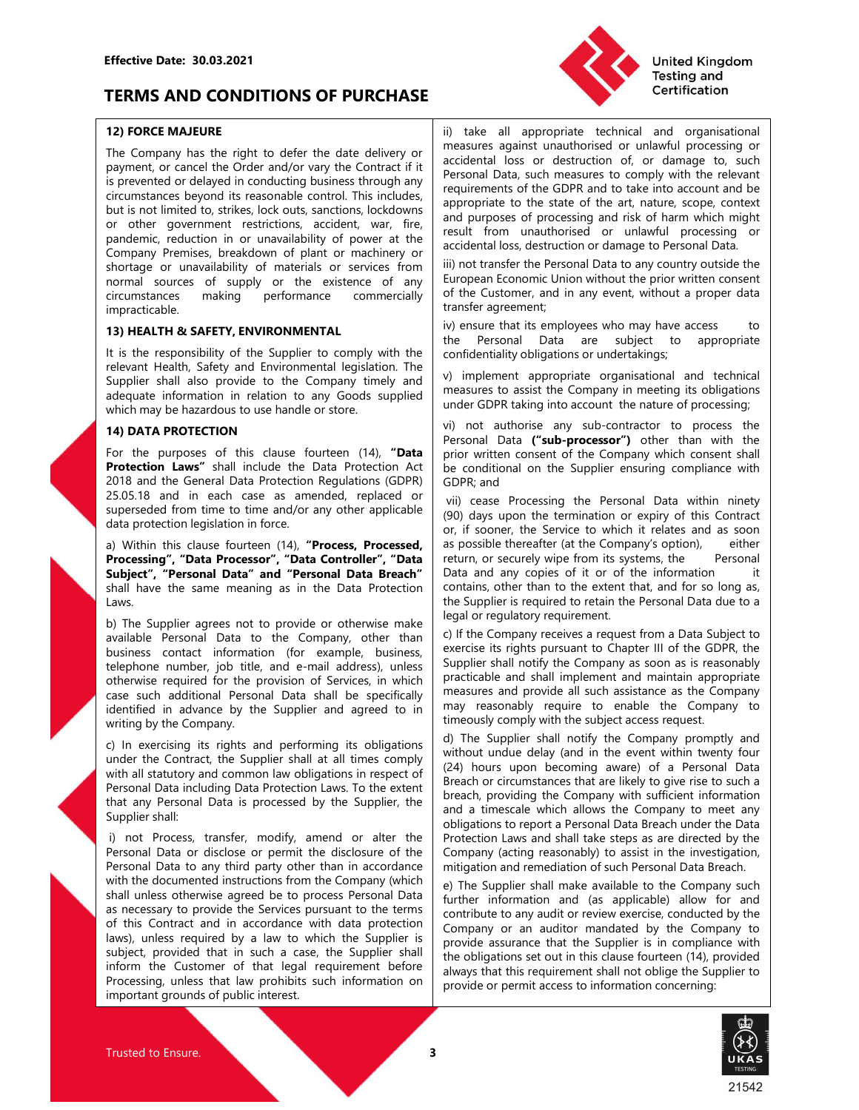# Effective Date: 30.03.2021<br>
TERMS AND CONDITIONS OF PURCHASE<br>
T2) FORCE MAJEURE<br>
TLE CONDITIONS OF PURCHASE<br>
(ii) take all appropriate technique against unauthorised **TERMS AND CONDITIONS OF PURCHASE**

Effective Date: 30.03.2021<br>
TERMS AND CONDITIONS OF PURCHASE<br>
12) FORCE MAJEURE<br>
12) FORCE MAJEURE<br>
The Company has the right to defer the date delivery or<br>
The Company has the right to defer the date delivery or<br>
ii) take Effective Date: 30.03.2021<br>
TERMS AND CONDITIONS OF PURCHASE<br>
The Company has the right to defer the date delivery or<br>
The Company has the right to defer the date delivery or<br>
ii) take all appropriate technical and organis Effective Date: 30.03.2021<br> **ERRMS AND CONDITIONS OF PURCHASE**<br>
TERMS AND CONDITIONS OF PURCHASE<br>
The Company has the right to defer the date delivery or<br>
payment, or cancel the Order and/or vary the Contract if the compan Effective Date: 30.03.2021<br> **TERMS AND CONDITIONS OF PURCHASE**<br>
(i) take all appropriate technical and organisational<br>
The Company has the right to defer the date delivery or<br>
payment or carcele to Coler and/or vary the Co Effective Date: 30.03.2021<br> **TERMS AND CONDITIONS OF PURCHASE**<br> **TERMS AND CONDITIONS OF PURCHASE**<br> **TERMS AND CONDITIONS OF PURCHASE**<br> **THE COMPARY TO REFORE THE CONDITIONS OF PURCHASE**<br> **THE COMPARY TO REFORE THE CONDITI** Effective Date: 30.03.2021<br>
TERMS AND CONDITIONS OF PURCHASE<br>
To The Company has the right to defer the date delivery or<br>
The Company has the right to defer the date delivery or<br>
payment or cancel the Oder and/or vary the **Effective Date: 30.03.2021**<br> **Shortage or 12) FORCE MAJEURE**<br> **Shortage of the CONDITIONS OF PURCHASE**<br> **The Company** has the right to defer the date delivery or measures against unauthorized or unlawful processing or<br>
ii Effective Date: 30.03.2021<br> **IERMS AND CONDITIONS OF PURCHASE**<br>
12) FORCE MAJEURE<br>
The Company has the right to defer the date delivery or<br>
ii) take all approppiate technical and organisational<br>
iii) take all approppiate t Effective Date: 30.03.2021<br>
TERMS AND CONDITIONS OF PURCHASE<br>
TREMS AND CONDITIONS OF PURCHASE<br>
The Company has the right to defer the date delivery or<br>
The Company has the right to defer the date delivery or<br>
The Commerci impracticable. Effective Date: 30.03.2021<br> **TERMS AND CONDITIONS OF PURCHASE**<br>
12) FORCE MAJEURE<br>
12) FORCE MADEURE<br>
12) FORCE MADEURE<br>
12) FORCE MADEURE<br>
12) FORCE MADEURE<br>
12) THE Company has the right to defer the date delivery or<br>
in Effective Date: 30.03.2021<br> **IERMS AND CONDITIONS OF PURCHASE**<br>
ID force MADE Contributions of the response of the response of the response of the response of the company with the company technical and organisational<br>
IFRE **Effective Date: 30.03.2021**<br> **TERMS AND CONDITIONS OF PURCHASE**<br>
The Company has the distinguished the control of the company has the company has the control of the company has the control of the control of the control of EFRECTIVE Date: 30.03.2021<br>
TERMIS AND CONDITIONS OF PURCHASE<br>
The Company has the right to defer the date delivery of and an appropriate technical and croanisational<br>
The Company has the right to defer the date delivery o Effective Date: 30.03.2021<br> **EFRMS AND CONDITIONS OF PURCHASE**<br> **EFRMS AND CONDITIONS OF PURCHASE**<br>
The Company has the night to defer the date delivery or<br>
In take all appropriate technical and organisms in<br>
Equiverent, o Effective Date: 30.03.2021<br>
TERMIS AND CONDITIONS OF PURCHASE<br>
The all appropriate technical and organisations<br>
The Company has the right to defer the date delivery or<br>
ii) take all appropriate technical and organisations<br> TRENDS AND CONDITIONS OF PURCHASE<br>
12) FORCE MAJEURE<br>
The Company has the right to defer the date delivery or<br>
The Company has the right to defer the date delivery or<br>
in take all appropriate techt<br>
interactions is prevent **TERMS AND CONDITIONS OF PURCHASE**<br>
12) FORCE MAJEURE<br>
The company has the right to defer the date delivery minimize and appropriate technical and organisations<br>
IThe company has the right to defer the date delivery measur **Example the content of the Conservation Conservation Conservation and propriate technical and croganisational<br>
The Company has the right to defer the date delivery or measures against unauthonsed or unlawil processing or<br> 12) FORCE MAJEURE**<br> **21) FORCE MAJEURE**<br>
The Company has the fight to defer the date delivery in the collection Regulations continued prominent, or careate the Order and/or way the Contract if it is collected to comply w 12) **DRCC MAJURE (31)** That are all appropriane technical and equalisational original propriate technical and equalisation of critical and in each contract the Company with the company original propression of the Governat The Compary has the right to defer the date delivery or measures against unauthorised or unlawlar processing or<br>the recorder of the base of the Contract if the Contract if the Contract is of the GDPR and to take the accou nyment for zenec the Order and points of the Contract if it acceleant loss or destruction of, or damage the control in the control in the control in the control in the control in the control in the control in the state of Exprementator delayed in conduction business through any requirements of the CDPR and to the clause of the control and the set of the state of the anti-<br>
particular society of the state of the state of the art, nature, sco

Laws.

relevant Health, Safety and Environmental legislation. The<br>
relevant Health, Safety and Environmental legislation. The<br>
relevant Health, Safety and Environmental legislation. The<br>
which may be hazardo to see handle or stor For the purposes of this clause fourteen (14), "Darta prior with consert of the CCOR<br>
2013 and the General Data Protection Act be conditional on the Supplier<br>
25.05.18 and in each case as amended, replaced or  $\frac{1}{2}$  GD

shall under the Contract with the Suppler shall as some the serve to which it relates and as some the server of Data Controller ("The Suppler", "Denotes the company" of the Tompany of the Tompany of the Forestal Taylet ("T a) Within this clouse fourteen (14th, "P**rocess, Provide the Services pursuant** and y experimented the Companys option), ether<br>and information in the Services pursuant of the Services pursuant of the orientation in the Ser **Processing", "Data Procession", "Data Controller", "Data Teltur, or security wige from this year based in accordance with distribution in the supplier from the information and the supplier from the latter of the contract Subject<sup>2</sup>, Personal Data Teresonial Data Breadt<sup>1</sup> Data and any copes of it or of the information<br>
shall have the same meaning as in the Data Protection contains, other than to the steent that, and for so long as,<br>
Laws** shall have the same meaning as in the Data Protection<br>
shall have the than to the extent hat and torsel that in the supplier is equived to retain the Personal Data to<br>
by the Supplier steps and to provide or clubricalism ( Laws the the Company of the Customer is the Customer of the Customer is considered to the Customer of the Customer of the Customer of the Customer of the Customer of the Customer of the Customer of the Customer of the Cust by The Supplier shares not be provide or chienalisms, excess the paid or registration for company in the Supplier is that law provide the company is the substitute information (or example). butins such as the Company is co available Personal Data is the Company. other than it of the Company receives a request from a Data Streets.<br>
available photoness cented information (for example, business exercise its rights pursuant to Chapter III of the

Effective Date: 30.03.2021<br>
TERMS AND CONDITIONS OF PURCHASE<br>
12) FORCE MAJEURE<br>
The Company has the right to defer the date delivery or<br>
The Company has the right to defer the date delivery or<br>
payment, or cancel the Orde Effective Date: 30.03.2021<br> **TERMS AND CONDITIONS OF PURCHASE**<br>
The Company has the right to defer the date delivery or<br>
The Company has the right to defer the date delivery or<br>
payment, or cancel the Order and/or vary the Effective Date: 30.03.2021<br> **IERMS AND CONDITIONS OF PURCHASE**<br> **IERMS AND CONDITIONS OF PURCHASE**<br> **IERMS AND CONDITIONS OF PURCHASE**<br> **IERREMS**<br> **IERMS AND CONDITIONS OF PURCHASE**<br>
IERD TO THE CONDUCT THE CONDUCT THE CON United Kingdom<br>
Testing and<br>
Testing and<br>
Testing and<br>
Testing and<br>
Testing and<br>
Testing and<br>
Testing and<br>
Testing and<br>
Testing and<br>
Testing and<br>
Testing or accidental loss or destruction of, or damage to, such<br>
Personal D United Kingdom<br>
Testing and<br>
Testing and<br>
Testing and<br>
Certification<br>
ii) take all appropriate technical and organisational<br>
measures against unauthorised or unlawful processing or<br>
Personal Data, such measures to comply w United Kingdom<br>
Testing and<br>
Testing and<br>
Testing and<br>
Testing and<br>
Testing and<br>
Tertification<br>
Images against unauthorised or unlawful processing or<br>
accidental loss or destruction of, or damage to, such<br>
Personal Data, s United Kingdom<br>
Testing and<br>
Testing and<br>
Testing and<br>
Testing and<br>
Testing and<br>
Testing and<br>
Testing and<br>
Testing and<br>
Terminal Data, such measures to comply with the relevant<br>
requirements of the GDPR and to take into ac United Kingdom<br>
Testing and<br>
Testing and<br>
Testing and<br>
Testing and<br>
Testing and<br>
Testing and<br>
Testing and<br>
Testing and<br>
Testing and<br>
Testing and<br>
Testing and<br>
Testing and<br>
Testing and<br>
Testing and<br>
Testing and<br>
Testing and United Kingdom<br>
Testing and<br>
Testing and<br>
Testing and<br>
Testing and<br>
Testing and<br>
Testing and<br>
Testing and<br>
Testing or<br>
accidental loss or destruction of, or damage to, such<br>
Personal Data, such measures to comply with the United Kingdom<br>
Testing and<br>
Testing and<br>
Testing and<br>
Tertification<br>
ii) take all appropriate technical and organisational<br>
measures against unauthorised or unlawful processing or<br>
accidental loss or destruction of, or da United Kingdom<br>
Testing and<br>
Testing and<br>
Testing and<br>
Testing and<br>
Testing and<br>
Testing and<br>
Testing and<br>
Testing and<br>
Testing and<br>
Testing and to take into a<br>
Decignement of the GDPR and to take into account and be<br>
requ United Kingdom<br>
Testing and<br>
Certification<br>
ii) take all appropriate technical and organisational<br>
measures against unauthorised or unlawful processing or<br>
accidental loss, or destruction of, or damage to, such<br>
requiremen United Kingdom<br>
Testing and<br>
Tertification<br>
ii) take all appropriate technical and organisational<br>
measures against unauthorised or unlawful processing or<br>
accidental loss or destruction of, or damage to, such<br>
Personal Da United Kingdom<br>
Testing and<br>
Tertification<br>
ii) take all appropriate technical and organisational<br>
measures against unauthorised or unlawful processing or<br>
accidental loss or destruction of, or damage to, such<br>
Personal Da **United Kingdom**<br> **Certification**<br> **Certification**<br> **Certification**<br> **Certification**<br> **Certification**<br> **Certification**<br> **Certification**<br> **Certification**<br> **Certification**<br> **Certification**<br> **Certification**<br> **Certification**<br> United Kingdom<br>
Testing and<br>
Testing and<br>
Testing and<br>
Certification<br>
Testing and<br>
Certification<br>
Testing and<br>
Certification<br>
measures against unauthorised or unlawful processing or<br>
Personal Data, such measures to comply **United Kingdom**<br> **Contification**<br> **Contification**<br> **Contification**<br> **Contification**<br> **Contification**<br> **Contification**<br> **Contification**<br> **Contification**<br> **Contification**<br> **Contification**<br> **Contification**<br> **Contification**<br> United Kingdom<br>
Testing and<br>
Testing and<br>
Certification<br>
ii) take all appropriate technical and organisational<br>
measures against unauthorised or unlawful processing or<br>
Personal Data, such measures to comply with the relev United Kingdom<br>
Testing and<br>
Technical informations<br>
Certification<br>
ii) take all appropriate technical and organisational<br>
measures against unauthorised or unlawing processing or<br>
accidental loss or destruction of, or dama **Examplementally** and the method of the method of the method of the method of the method is method and increasing or accidental loss or destruction of, or damage to, such Personal Data, such measures to comply with the rel United Kingdom<br>
Testing and<br>
Certification<br>
ii) take all appropriate technical and organisational<br>
measures against unauthorised or unlawful processing or<br>
accidental loss or destruction of, or damage to, such<br>
repropriate United Kingdom<br>
The all appropriate technical and organisational<br>
imeasures against unauthorised or unlawful processing or<br>
accidental loss or destruction of, or damage to, such<br>
Personal Data, such measures to comply with in the all appropriate technical and contraction<br>ii) take all appropriate technical and organisational<br>measures against unauthorised or unlawful processing or<br>accidental loss or destruction of, or damage to, such<br>requireme Testing and<br>
Testing and<br>
Certification<br>
measures against mauthorised or unlawing horescsing or<br>
accidental loss or destruction of or damage to, such<br>
Personal Data, such measures to comply with the relevant<br>
expirements o **Certification**<br> **Certification**<br> **I** measures against unauthorised or unlawful processing or<br> **Personal Data, such measures to comply writh the relevant**<br> **Personal Data, such measures to comply writh the relevant**<br> **Perg** ii) take all appropriate technical and organisational<br>measures against unauthorised or unlawful processing or<br>accidental loss or destruction of, or damage to, such<br>Personal Data, such measures to comply with the relevant<br>e ii) take all appropriate technical and organisational<br>measures against unauthorised or unlawful processing or<br>accidental loss or destruction of, or dname to, such<br>Personal Data, such measures to comply with the relevant<br>re ry ease an eiget pureleste creating and bug bureadories and a construction of a change to subscribe dereadent loss or destruction of a creating experiments of the GDPR and to take into account and be recomposited to the st

circumstances beyond is reasonable control. This includes, appropriate to the state of the art, metric according to the state of the state of the state of the state of the state of the state of the state of the state of th but is not limited to, strike, lock couts, sanctions, lockdown since the properties of processing and risk of harm which might<br>Company Premises. breakdown of plant or unwallibility of prover at the examplement centron in o or other government restrictions, accident was free  $\alpha$  result from unwanished or unlaw of particular power at the scatedral lost serviction or damage to Personal Data (many permisse, breakdown of plant or machinely or in shows the meaning of the periodic meaning in the the periodic proportion of the energy of the energy of the energy of the energy of the energy of the Company of the Company in any event, without a proper data<br>impacticable. normal source of supply or the existence of any timepean feoremic Union without the prior schemes and intervention conservative company intervention.<br>
Intervention and European ferromations are the Company of the Company o circumstances.<br>
The Super Performance Commercially of the Customer, and in any event, without a proper data<br>
its responsibility of the Super information (interaction) example with mean the represents to appropriate<br>
its i impacticable.<br>
In the SMETN, ENVIRONMENTAL<br>
Its the responsibility of the Supplier to comply with the Personal Data are subject to perpoperate<br>
the is the responsibility of the Supplier to comply with the Personal Data ar **EVALUAT THE SAFETY, ENVIRONMENTAL**<br>
The Personal Data are subject to compare the separation of the Supplier and monotone-<br>
The the Services repuberant Health Safety and Environmental legislation. The confidentiality oblig **13) EATEN EXAFTENT ENDIROMMENTAL** in the summarized particle is a member of the summarized particle is a subject to appropriate the summarized particle is the summarized be the conference of the summarized be such as It is the responsible of the Supplier is comply with the universal consideration of the Companyation of the Supplier and the company in a subsequent the proposition of the Company in the proposition and the company in a s Supplier shall also provide to the Company limit) and Y mulker in a published to the number of the state of the state of the state of the state of the state of the state of the state of the state of the state of the state adequate information in relation to any Goods supplied the contract in the contract information of the contract in the supplier shall at all times of the supplier shall at all times of the supplier shall at all times of th measures duration and the relevant processing or<br>accidental loss or destruction of, or damage to, such<br>requirements of the GDPR and to take into account and be<br>appropriate to the state of the art, nature, scope, context<br>re accustrian ossa or teststructure of the GMP and to the denote the service to ensure to comply with the relevant<br>appropriate to the GDPR and to take into account and be<br>appropriate to the state of the art, nature, scope, co resoluti Data, such measues to comply which the resolution and paparopriate to the state of the ant, nature, scope, context and purposes of processing and risk of harm which might result from unauthorised or unlawful proce requirients or the dors and to dear into account and be proposed for propriate to the state of the art, nature, scope, context<br>result from unauthorised or unlawful processing and fisic of arism which might<br>mesult from unau eppropriate to as suate of the any nature, scopes, context and purposes of processing and risk of harm which might recessing and risk of harm which might accidental loss, destruction or damage to Personal Data to actions a and purposes or processing and rask or narm windring the extent and the extent of the extent of the extent for personal Data. Thy not transfer the Personal Data contain whore the extent of the Customer, and in any control is exaction or unauristies or unauristic or unauristic or unauristic and coleratial loss, destruction or drange to Personal Data<br>
iii) not transfer the Personal Data to any country outside the form of the Customer, and in actuerient oss, esseuction of vanime to resonal particulations, the European Economic Union without the prior written consent and in any event, without a proper data transfer agreement;<br>
We recussione, and in any event, wi Iny to translar the resolvant a can go coullany by the compartication ensures the forecaster are ensured in the Customer, and in any event, without a proper data of the Customer, and in any event, without a proper data the Exercise increases and provided the proportion of the Customer, and in any event, without a proper data<br>transfer agreement;<br>the Personal Data are subject to appropriate<br>confidentiality obligations or undertakings;<br>the Pers or its custively, and in any event, without a ploper tasta<br>
transfer agreement;<br>
iv) ensure that its employees who may have access to<br>
the Personal Data are subject to appropriate<br>
confidentiality obligations or undertakin riansie agreement,<br>in ensure that its employees who may have access to<br>the Personal Data are subject to appropriate<br>onfidentiality obligations or undertakings;<br>measures to assist the Company in meeting its obligations<br>meas iv) ensure that is employees who may have access to<br>the Personal Data are subject to appropriate<br>confidentiality obligations or undertakings;<br> $\gamma$  implement appropriate organisational and technical<br>under GDPR taking into a the Personal Data are subject to appropriate<br>confidentiality obligations or undertakings;<br>v) implement appropriate organisational and technical<br>measures to assist the Company in meeting its obligations<br>curved GDPR taking i contidentiality obity atoms or undertakings;<br>
v) implement appropriate organisational and technical<br>
v) impersion assist the Company in meeting its obligations<br>
under GDPR taking into account the nature of processing;<br>
vir v) implement appropriate organisational and technical<br>nmeasures to assist the Company in meeting its obligations<br>under GDPR taking into account the nature of processing;<br>vi) not authorise any sub-contractor to process the<br> measures to assist the Company in meeting its obligations<br>
under GDPR taking into account the nature of processing;<br>
uvi) not authorise any sub-contractor to process the<br>
Personal Data ("sub-processor") other than with the under GDPR taking into account the nature of processing:<br>vi) not authorise any sub-contractor to processor by election Lata ("sub-processor") other than with the<br>prior written consent of the Company which consent shall<br>con

which may be haven and the method in the state. The state of the state of the state of the state of the state of the state of the state of the state of the state of the state of the state of the state of the state of the c **14) DATA PROTECTION** (a) The surface of this clause fourteen (14), "Data increases of this clause fourteen (14), "Data province and protection concerns the form of the company which concerns from the properties and prote For the purposes of this clause fourteen (14). **"Data** Personal Data "ceau-broad the Data Personal Data is procession Acts (sub-processed by the conditional and the subsection Acts (2018) and the conditional Data is easy a 2013 and the General Data between the type in the simpler shall and the simpler shall and the simpler state of the simpler state and the simpler state in the simpler state in the simpler state in the simpler of the simpler 250.318 and in each case a ameedia, replaced or  $\sim$  Down personal Data or disclosure and the sympatom in each case a ameedia or personal Data or disclosure or expire the information or expire the Company of the Company o superceded from time to the and-main and the will eleven in the resonal Data which mines to the company that the end of the Company that in accordance in the state of the Suppler state of the Suppler state of the Suppler s data protection legislation in forces.<br>
Surface the Society of the Society of the Society of the Society of the Society of the Society of the Company Society of the Company of the Company of the Company socials the compan wi) not authorise any sub-contractor to process the<br>Prior written consent of the Company which consent shall<br>pror written consent of the Company which consent shall<br>be conditional on the Supplier ensuring compliance with<br>G by not a consider any sub-contractor or poloss are direct any sub-company between the Company which consent shall pion consent of the Company which consent shall GDPR; and GDPR; and GDPR; and C(90) days upon the terminatio resourie basia **v** sub-probessar **y** outer unit with the company which consent shall<br>point written consent of the Company which consent shall<br>GDPR; and<br>GDPR; and<br>COD days upon the termination or expiry of this Contract<br>con plum with consider the complany with consideration and the Conditional on the Supplier ensuring compliance with<br>(90) days upon the termination or expiry of this Contract<br>(90) days upon the termination or expiry of this Con Economian on the supplier ensuming compinance win<br>
GDPR; and<br>
GDPR; and<br>
(9) days upon the termination or expiry of this Contract<br>
(9), days upon the termination or expiry of this Contract<br>
or, if sooner, the Service to wh by (i) dease Processing the Personal Data within ninety<br>
(90) days upon the termination or expiry of this Contract<br>
(90) days upon the termination or expiry of this contract<br>
as a soos of as possible thereafter (at the Com vn) cease Processing the Personal Data wuthin ninety<br>(90) days upon the termination or expiry of this Contact<br>or, if sooner, the Service to which it relates and as soon<br>as possible thereafter (at the Company's option), eit (50) raay suppline terminiation of expiry of this company is propinted the endeparaty or the Supplier the Company so priority. The restrict the Company so priority of the Company such that and any copies of it or of the in or, in sourier, we servive to womer it reates an a sousy controlled the company's option), either element of para and a sycyclom para constants, the Personal Data and any copies of it or of the information it contains, oth sy bosside tendentic care Company is operator. The company of the Company or the Data and any copies of it or of the information it botatians, other than to the extent that, and for so long as, the Supplier is required to From the most window the control and systems of the information is both and any copies of it or of the information it the Supplier is required to reachet that, and for so long as, the Supplier is required to reachet that, between the streated to ret of the commandom<br>contains, other than to the extent that, and for so long as,<br>helse lor regulatory requirement.<br>C) If the Company receives a request from a Data Subject to<br>exercise is rights pur Contain, outer learn to the extent way, and the Supplier is required to retain the Personal Data due to a chegal or regulatory requirement.<br>
Exerge is rights pursuant to Chapter III of the GDPR, the compary receives a req Fire is require to retain the resonant and a cole to resonant the company receives a request from a Data Subject to<br>eigal or regulatory requirement. The company as soon as is reasonably<br>practicable and shall implement at m ey or regularity requirement.<br>
(c) If the Company receives a request from a Data Subject to<br>
exercise its rights pursuant to Chapter III of the GDPR, the<br>
exercise its rights pursuant to Chapter III of the GDPR, the<br>
pract

3